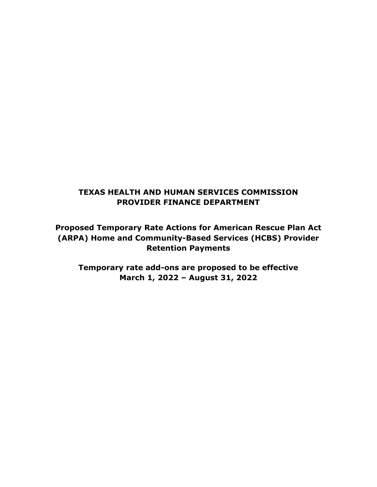# **TEXAS HEALTH AND HUMAN SERVICES COMMISSION PROVIDER FINANCE DEPARTMENT**

**Proposed Temporary Rate Actions for American Rescue Plan Act (ARPA) Home and Community-Based Services (HCBS) Provider Retention Payments**

**Temporary rate add-ons are proposed to be effective March 1, 2022 – August 31, 2022**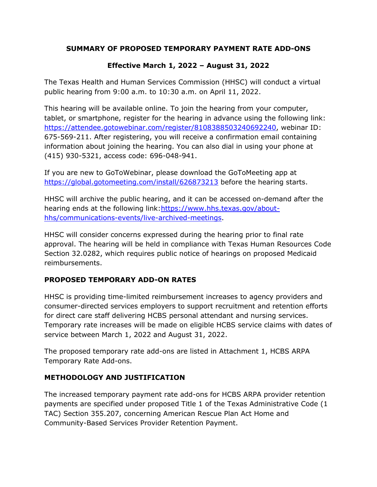## **SUMMARY OF PROPOSED TEMPORARY PAYMENT RATE ADD-ONS**

# **Effective March 1, 2022 – August 31, 2022**

The Texas Health and Human Services Commission (HHSC) will conduct a virtual public hearing from 9:00 a.m. to 10:30 a.m. on April 11, 2022.

This hearing will be available online. To join the hearing from your computer, tablet, or smartphone, register for the hearing in advance using the following link: [https://attendee.gotowebinar.com/register/8108388503240692240,](https://attendee.gotowebinar.com/register/8108388503240692240) webinar ID: 675-569-211. After registering, you will receive a confirmation email containing information about joining the hearing. You can also dial in using your phone at (415) 930-5321, access code: 696-048-941.

If you are new to GoToWebinar, please download the GoToMeeting app at <https://global.gotomeeting.com/install/626873213> before the hearing starts.

HHSC will archive the public hearing, and it can be accessed on-demand after the hearing ends at the following link: https://www.hhs.texas.gov/about[hhs/communications-events/live-archived-meetings.](https://www.hhs.texas.gov/about-hhs/communications-events/live-archived-meetings)

HHSC will consider concerns expressed during the hearing prior to final rate approval. The hearing will be held in compliance with Texas Human Resources Code Section 32.0282, which requires public notice of hearings on proposed Medicaid reimbursements.

## **PROPOSED TEMPORARY ADD-ON RATES**

HHSC is providing time-limited reimbursement increases to agency providers and consumer-directed services employers to support recruitment and retention efforts for direct care staff delivering HCBS personal attendant and nursing services. Temporary rate increases will be made on eligible HCBS service claims with dates of service between March 1, 2022 and August 31, 2022.

The proposed temporary rate add-ons are listed in Attachment 1, HCBS ARPA Temporary Rate Add-ons.

## **METHODOLOGY AND JUSTIFICATION**

The increased temporary payment rate add-ons for HCBS ARPA provider retention payments are specified under proposed Title 1 of the Texas Administrative Code (1 TAC) Section 355.207, concerning American Rescue Plan Act Home and Community-Based Services Provider Retention Payment.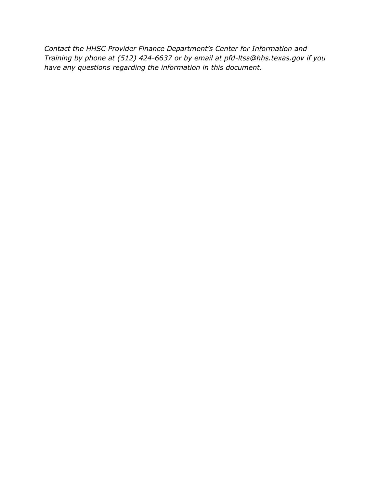*Contact the HHSC Provider Finance Department's Center for Information and Training by phone at (512) 424-6637 or by email at pfd-ltss@hhs.texas.gov if you have any questions regarding the information in this document.*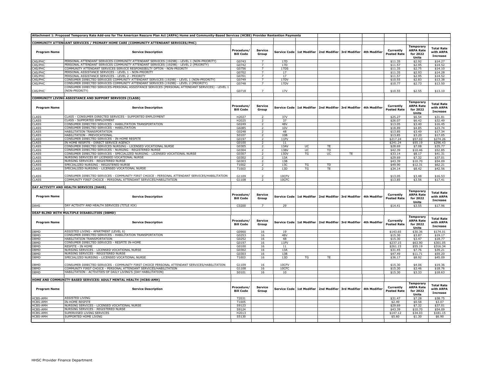|                             | Attachment 1: Proposed Temporary Rate Add-ons for The American Rescure Plan Act (ARPA) Home and Community-Based Services (HCBS) Provider Rentention Payments |                                |                          |                     |                     |           |                                        |              |                                 |                                                           |                                                   |
|-----------------------------|--------------------------------------------------------------------------------------------------------------------------------------------------------------|--------------------------------|--------------------------|---------------------|---------------------|-----------|----------------------------------------|--------------|---------------------------------|-----------------------------------------------------------|---------------------------------------------------|
|                             |                                                                                                                                                              |                                |                          |                     |                     |           |                                        |              |                                 |                                                           |                                                   |
| <b>Program Name</b>         | COMMUNITY ATTENDANT SERVICES / PRIMARY HOME CARE (COMMUNITY ATTENDANT SERVICES/PHC)<br><b>Service Description</b>                                            | Procedure/<br><b>Bill Code</b> | <b>Service</b><br>Group  | <b>Service Code</b> | <b>1st Modifier</b> |           | 2nd Modifier 3rd Modifier 4th Modifier |              | Currently<br>Posted Rate        | Temporary<br><b>ARPA Rate</b><br>for 2022<br>Units        | <b>Total Rate</b><br>with ARPA<br><b>Increase</b> |
| CAS/PHC                     | PERSONAL ATTENDANT SERVICES COMMUNITY ATTENDANT SERVICES (1929B) - LEVEL 1 (NON-PRIORITY)                                                                    | G0743                          | $\overline{7}$           | 17 <sub>D</sub>     |                     |           |                                        |              | \$11.35                         | \$2.92                                                    | \$14.27                                           |
| CAS/PHC                     | PERSONAL ATTENDANT SERVICES COMMUNITY ATTENDANT SERVICES (1929B) - LEVEL 2 (PRIORITY)                                                                        | G0742                          |                          | 17D                 |                     |           |                                        |              | \$11.57                         | \$2.95                                                    | \$14.52                                           |
| CAS/PHC                     | COMMUNITY ATTENDANT SERVICES SERVICE RESPONSIBILTY OPTON - NON-PRIORITY                                                                                      | G0756                          | $\overline{7}$           | 17DS                |                     |           |                                        |              | \$11.35                         | \$2.75                                                    | \$14.10                                           |
| <b>AS/PHC</b>               | PERSONAL ASSISTANCE SERVICES - LEVEL 1 - NON-PRIORITY                                                                                                        | G0702                          | $\overline{7}$           | 17                  |                     |           |                                        |              | \$11.35                         | \$2.93                                                    | \$14.28                                           |
| CAS/PHC                     | PERSONAL ASSISTANCE SERVICES - LEVEL 2 - PRIORITY                                                                                                            | G0701                          | $\overline{7}$           | 17                  |                     |           |                                        |              | \$11.57                         | \$2.95                                                    | \$14.52                                           |
| <b>AS/PHC</b>               | CONSUMER DIRECTED SERVICES COMMUNITY ATTENDANT SERVICES (1929B) - LEVEL 1 (NON-PRIORITY)                                                                     | G0749                          | $\overline{7}$           | 17DV                |                     |           |                                        |              | \$10.55                         | \$2.83                                                    | \$13.38                                           |
| <b>AS/PHC</b>               | CONSUMER DIRECTED SERVICES COMMUNITY ATTENDANT SERVICES (1929B) - LEVEL 2 (PRIORITY)                                                                         | G0748                          | $\overline{7}$           | 17DV                |                     |           |                                        |              | \$10.77                         | \$2.73                                                    | \$13.50                                           |
| AS/PHC                      | CONSUMER DIRECTED SERVICES-PERSONAL ASSISTANCE SERVICES (PERSONAL ATTENDANT SERVICES) - LEVEL 1<br>(NON-PRIORITY)                                            | G0718                          |                          | 17V                 |                     |           |                                        |              | \$10.55                         | \$2.55                                                    | \$13.10                                           |
|                             | COMMUNITY LIVING ASSISTANCE AND SUPPORT SERVICES (CLASS)                                                                                                     |                                |                          |                     |                     |           |                                        |              |                                 |                                                           |                                                   |
| <b>Program Name</b>         | <b>Service Description</b>                                                                                                                                   | Procedure/<br><b>Bill Code</b> | <b>Service</b><br>Group  | <b>Service Code</b> | <b>1st Modifier</b> |           | 2nd Modifier 3rd Modifier              | 4th Modifier | Currently<br>Posted Rate        | <b>Temporary</b><br><b>ARPA Rate</b><br>for 2022<br>Units | <b>Total Rate</b><br>with ARPA<br><b>Increase</b> |
| CLASS                       | CLASS - CONSUMER DIRECTED SERVICES - SUPPORTED EMPLOYMENT                                                                                                    | H2027                          | $\overline{z}$           | 37V                 |                     |           |                                        |              | \$25.27                         | \$6.54                                                    | \$31.81                                           |
| <b>CLASS</b>                | CLASS - SUPPORTED EMPLOYMENT                                                                                                                                 | H2025                          | $\overline{z}$           | 37                  |                     |           |                                        |              | \$26.07                         | \$6.42                                                    | \$32.49                                           |
| <b>CLASS</b>                | CONSUMER DIRECTED SERVICES - HABILITATION TRANSPORTATION                                                                                                     | G0249                          | $\overline{2}$           | 48V                 |                     |           |                                        |              | \$13.05                         | \$3.40                                                    | \$16.45                                           |
| CLASS                       | CONSUMER DIRECTED SERVICES - HABILITATION                                                                                                                    | G6085                          | $\overline{2}$           | 10V                 |                     |           |                                        |              | \$18.89                         | \$4.85                                                    | \$23.74                                           |
| <b>CLASS</b>                | HABILITATION TRANSPORTATION                                                                                                                                  | G0248                          | $\overline{z}$           | 48                  |                     |           |                                        |              | \$13.85                         | \$3.49                                                    | \$17.34                                           |
| CLASS                       | HABILITATION - PREVOCATIONAL                                                                                                                                 | S0107                          | 2                        | 10B                 |                     |           |                                        |              | \$13.85                         | \$3.20                                                    | \$17.05                                           |
| <b>CLASS</b>                | CONSUMER DIRECTED SERVICES - IN-HOME RESPITE                                                                                                                 | G0197                          | 2                        | 11PV                |                     |           |                                        |              | \$217.24                        | \$57.02                                                   | \$274.26                                          |
| <b>CLASS</b>                | IN HOME RESPITE - DIRECT SERVICE AGENCY                                                                                                                      | G0100                          | 2                        | 11                  |                     |           |                                        |              | \$241.24                        | \$55.19                                                   | \$296.43                                          |
| <b>CLASS</b>                | CONSUMER DIRECTED SERVICES NURSING - LICENSED VOCATIONAL NURSE                                                                                               | G0305                          | $\mathcal{L}$            | 13AV                | UC                  | <b>TE</b> |                                        |              | \$28.69                         | \$7.08                                                    | \$35.77                                           |
| <b>CLASS</b>                | CONSUMER DIRECTED SERVICES - NURSING - REGISTERED NURSE                                                                                                      | G0304                          |                          | 13BV                | UC                  | TD        |                                        |              | \$42.39                         | \$10.46                                                   | \$52.85                                           |
| CLASS                       | CONSUMER DIRECTED SERVICES - SPECIALIZED NURSING - LICENSED VOCATIONAL NURSE                                                                                 | G0307                          |                          | 13DV                | TG                  | UC        | TE                                     |              | \$33.14                         | \$8.17                                                    | \$41.31                                           |
| CLASS                       | NURSING SERVICES BY LICENSED VOCATIONAL NURSE                                                                                                                | G0302                          | $\overline{z}$           | 13A                 |                     |           |                                        |              | \$29.69                         | \$7.32                                                    | \$37.01                                           |
| <b>CLASS</b>                | NURSING SERVICES - REGISTERED NURSE                                                                                                                          | G0303                          | 2                        | 13B                 |                     |           |                                        |              | \$43.39                         | \$10.70                                                   | \$54.09                                           |
| <b>CLASS</b>                | SPECIALIZED NURSING - REGISTERED NURSE                                                                                                                       | T1002                          | $\overline{z}$           | 13C                 | TG                  | TD        |                                        |              | \$49.90                         | \$12.31                                                   | \$62.21                                           |
| <b>CLASS</b>                | SPECIALIZED NURSING - LICENSED VOCATIONAL NURSE                                                                                                              | T1003                          | $\overline{2}$           | 13D                 | TG                  | TE        |                                        |              | \$34.14                         | \$8.42                                                    | \$42.56                                           |
|                             | CONSUMER DIRECTED SERVICES - COMMUNITY FIRST CHOICE - PERSONAL ATTENDANT SERVICES/HABILITATION                                                               |                                | $\overline{\phantom{0}}$ | 10CFV               |                     |           |                                        |              |                                 |                                                           |                                                   |
| CLASS<br><b>CLASS</b>       | COMMUNITY FIRST CHOICE - PERSONAL ATTENDANT SERVICES/HABILITATION                                                                                            | G1109<br>G1108                 | 2                        | 10CFC               |                     |           |                                        |              | \$13.05<br>\$13.85              | \$3.48<br>\$3.56                                          | \$16.53<br>\$17.41                                |
|                             |                                                                                                                                                              |                                |                          |                     |                     |           |                                        |              |                                 |                                                           |                                                   |
|                             | DAY ACTIVITY AND HEALTH SERVICES (DAHS)                                                                                                                      |                                |                          |                     |                     |           |                                        |              |                                 |                                                           |                                                   |
| <b>Program Name</b>         | <b>Service Description</b>                                                                                                                                   | Procedure/<br><b>Bill Code</b> | <b>Service</b><br>Group  | <b>Service Code</b> | 1st Modifier        |           | 2nd Modifier 3rd Modifier              | 4th Modifier | Currently<br><b>Posted Rate</b> | Temporary<br><b>ARPA Rate</b><br>for 2022<br>Units        | <b>Total Rate</b><br>with ARPA<br><b>Increase</b> |
| DAHS                        | DAY ACTIVITY AND HEALTH SERVICES (TITLE XIX)                                                                                                                 | C0200                          | $\overline{7}$           | 29                  |                     |           |                                        |              | \$14.41                         | \$3.55                                                    | \$17.96                                           |
|                             |                                                                                                                                                              |                                |                          |                     |                     |           |                                        |              |                                 |                                                           |                                                   |
| <b>Program Name</b>         | DEAF-BLIND WITH MULTIPLE DISABILITIES (DBMD)<br><b>Service Description</b>                                                                                   | Procedure/<br><b>Bill Code</b> | <b>Service</b><br>Group  | Service Code        | 1st Modifier        |           | 2nd Modifier 3rd Modifier              | 4th Modifier | Currently<br>Posted Rate        | Temporary<br><b>ARPA Rate</b><br>for 2022                 | <b>Total Rate</b><br>with ARPA<br><b>Increase</b> |
| <b>DBMD</b>                 | <b>ASSISTED LIVING - APARTMENT (LEVEL 6)</b>                                                                                                                 | G0900                          | 16                       | 19                  |                     |           |                                        |              | \$143.65                        | <b>Units</b><br>\$30.36                                   | \$174.01                                          |
| DBMD                        | CONSUMER DIRECTED SERVICES - HABILITATION TRANSPORTATION                                                                                                     | G0253                          | 16                       | 48V                 |                     |           |                                        |              | \$15.30                         | \$3.87                                                    | \$19.17                                           |
| OBMD                        | HABILITATION TRANSPORTATION                                                                                                                                  | G0252                          | 16                       | 48                  |                     |           |                                        |              | \$15.30                         | \$3.47                                                    | \$18.77                                           |
| DBMD                        | CONSUMER DIRECTED SERVICES - RESPITE IN-HOME                                                                                                                 | G0197                          | 16                       | 11PV                |                     |           |                                        |              | \$237.15                        | \$63.90                                                   | \$301.05                                          |
| <b>DBMD</b>                 | RESPITE - IN HOME                                                                                                                                            | G0100                          | 16                       | $11\,$              |                     |           |                                        |              | \$261.15                        | \$55.19                                                   | \$316.34                                          |
| <b>BMD</b>                  | NURSING SERVICES - LICENSED VOCATIONAL NURSE                                                                                                                 | G0302                          | 16                       | 13A                 |                     |           |                                        |              | \$31.45                         | \$7.76                                                    | \$39.21                                           |
| <b>BMD</b>                  | NURSING SERVICES - REGISTERED NURSE                                                                                                                          | G0303                          | 16                       | 13B                 |                     |           |                                        |              | \$47.49                         | \$11.71                                                   | \$59.20                                           |
| <b>BMD</b>                  | SPECIALIZED NURSING - LICENSED VOCATIONAL NURSE                                                                                                              | T1003                          | 16                       | 13D                 | TG                  | TE        |                                        |              | \$36.17                         | \$8.92                                                    | \$45.09                                           |
| <b>BMD</b>                  | CONSUMER DIRECTED SERVICES - COMMUNITY FIRST CHOICE PERSONAL ATTENDANT SERVICES/HABILITATION                                                                 | G1109                          | 16                       | 10CFV               |                     |           |                                        |              | \$15.30                         | \$4.06                                                    | \$19.36                                           |
| OBMD                        | COMMUNITY FIRST CHOICE - PERSONAL ATTENDANT SERVICES/HABILITATION                                                                                            | G1108                          | 16                       | 10CFC               |                     |           |                                        |              | \$15.30                         | \$3.46                                                    | \$18.76                                           |
| <b>BMD</b>                  | HABILITATION - ACTIVITIES OF DAILY LIVING'S (DAY HABILITATION)                                                                                               | S0101                          | 16                       | 10                  |                     |           |                                        |              | \$15.30                         | \$3.33                                                    | \$18.63                                           |
|                             |                                                                                                                                                              |                                |                          |                     |                     |           |                                        |              |                                 |                                                           |                                                   |
| <b>Program Name</b>         | HOME AND COMMUNITY-BASED SERVICES: ADULT MENTAL HEALTH (HCBS-AMH)<br><b>Service Description</b>                                                              | Procedure/<br><b>Bill Code</b> | <b>Service</b><br>Group  | <b>Service Code</b> | 1st Modifier        |           | 2nd Modifier 3rd Modifier              | 4th Modifier | Currently<br><b>Posted Rate</b> | <b>Temporary</b><br><b>ARPA Rate</b><br>for 2022          | <b>Total Rate</b><br>with ARPA<br><b>Increase</b> |
|                             |                                                                                                                                                              |                                |                          |                     |                     |           |                                        |              |                                 | <b>Units</b>                                              |                                                   |
| <b>ICBS-AMH</b>             | <b>ASSISTED LIVING</b>                                                                                                                                       | T2031                          |                          |                     |                     |           |                                        |              | \$31.47                         | \$7.28                                                    | \$38.75                                           |
| <b>ICBS-AMH</b>             | <b>IN-HOME RESPITE</b>                                                                                                                                       | T1005                          |                          |                     |                     |           |                                        |              | \$2.49                          | \$0.58                                                    | \$3.07                                            |
| <b>ICBS-AMH</b>             | NURSING SERVICES - LICENSED VOCATIONAL NURSE                                                                                                                 | S9123                          |                          |                     |                     |           |                                        |              | \$29.69                         | \$7.32                                                    | \$37.01                                           |
| <b>ICBS-AMH</b>             | NURSING SERVICES - REGISTERED NURSE<br>SUPERVISED LIVING SERVICES                                                                                            | S9124                          |                          |                     |                     |           |                                        |              | \$43.39                         | \$10.70                                                   | \$54.09                                           |
| <b>HCBS-AMH</b><br>HCBS-AMH | SUPPORTED HOME LIVING                                                                                                                                        | H2013<br>S5130                 |                          |                     |                     |           |                                        |              | \$147.12<br>\$5.60              | \$34.03<br>\$1.30                                         | \$181.15<br>\$6.90                                |
|                             |                                                                                                                                                              |                                |                          |                     |                     |           |                                        |              |                                 |                                                           |                                                   |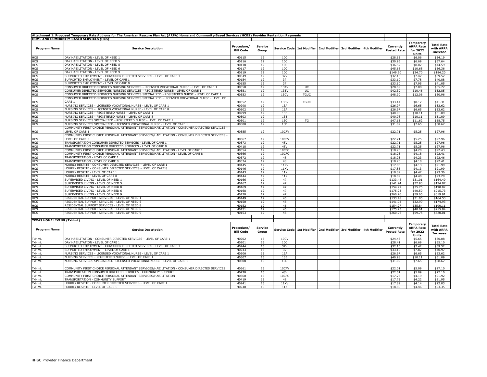|                                  | Attachment 1: Proposed Temporary Rate Add-ons for The American Rescure Plan Act (ARPA) Home and Community-Based Services (HCBS) Provider Rentention Payments                     |                                |                         |                 |                   |                                                                          |              |                                 |                                                           |                                                   |
|----------------------------------|----------------------------------------------------------------------------------------------------------------------------------------------------------------------------------|--------------------------------|-------------------------|-----------------|-------------------|--------------------------------------------------------------------------|--------------|---------------------------------|-----------------------------------------------------------|---------------------------------------------------|
|                                  | HOME AND COMMUNITY-BASED SERVICES (HCS)                                                                                                                                          |                                |                         |                 |                   |                                                                          |              |                                 |                                                           |                                                   |
| <b>Program Name</b>              | <b>Service Description</b>                                                                                                                                                       | Procedure/<br><b>Bill Code</b> | <b>Service</b><br>Group |                 |                   | Service Code 1st Modifier   2nd Modifier   3rd Modifier                  | 4th Modifier | Currently<br><b>Posted Rate</b> | Temporary<br><b>ARPA Rate</b><br>for 2022<br>Units        | <b>Total Rate</b><br>with ARPA<br><b>Increase</b> |
| HCS                              | DAY HABILITATION - LEVEL OF NEED 1                                                                                                                                               | M0115                          | 12                      | 10 <sup>C</sup> |                   |                                                                          |              | \$28.13                         | \$6.06                                                    | \$34.19                                           |
| <b>HCS</b>                       | DAY HABILITATION - LEVEL OF NEED 5                                                                                                                                               | M0116                          | $\overline{12}$         | 10C             |                   |                                                                          |              | \$30.95                         | \$6.69                                                    | \$37.64                                           |
| <b>HCS</b>                       | DAY HABILITATION - LEVEL OF NEED 8                                                                                                                                               | M0118                          | 12                      | 10 <sup>C</sup> |                   |                                                                          |              | \$36.57                         | \$8.02                                                    | \$44.59                                           |
| HCS<br>HCS                       | DAY HABILITATION - LEVEL OF NEED 6                                                                                                                                               | M0117                          | 12                      | 10 <sup>C</sup> |                   |                                                                          |              | \$45.68                         | \$10.68                                                   | \$56.36                                           |
|                                  | DAY HABILITATION - LEVEL OF NEED 9                                                                                                                                               | M0119                          | 12                      | 10C             |                   |                                                                          |              | \$149.50                        | \$34.70                                                   | \$184.20                                          |
| <b>HCS</b><br>HCS<br>HCS         | SUPPORTED EMPLOYMENT - CONSUMER DIRECTED SERVICES - LEVEL OF CARE 1                                                                                                              | M0349                          | 12                      | 37V             |                   |                                                                          |              | \$32.10                         | \$7.42                                                    | \$39.52                                           |
|                                  | SUPPORTED EMPLOYMENT - LEVEL OF CARE 1                                                                                                                                           | M0154                          | 12                      | 37              |                   |                                                                          |              | \$33.10                         | \$7.78                                                    | \$40.88                                           |
|                                  | SUPPORTED EMPLOYMENT - LEVEL OF CARE 8                                                                                                                                           | M0155                          | 12                      | 37              |                   |                                                                          |              | \$33.10                         | \$7.95                                                    | \$41.05                                           |
| <b>HCS</b>                       | CONSUMER DIRECTED SERVICES NURSING SERVICES - LICENSED VOCATIONAL NURSE - LEVEL OF CARE 1                                                                                        | M0350                          | 12                      | 13AV            | UC.               |                                                                          |              | \$28.69                         | \$7.08                                                    | \$35.77                                           |
| <b>HCS</b><br>HCS                | CONSUMER DIRECTED SERVICES NURSING SERVICES - REGISTERED NURSE - LEVEL OF CARE 1<br>CONSUMER DIRECTED SERVICES NURSING SERVICES SPECIALIZED - REGISTERED NURSE - LEVEL OF CARE 1 | M0351<br>M0353                 | 12<br>12                | 13BV<br>13CV    | UC<br><b>TGUC</b> |                                                                          |              | \$42.39<br>\$48.90              | \$10.46<br>\$12.06                                        | \$52.85<br>\$60.96                                |
|                                  | CONSUMER DIRECTED SERVICES NURSING SERVICES SPECIALIZED - LICENSED VOCATIONAL NURSE - LEVEL OF                                                                                   |                                |                         |                 |                   |                                                                          |              |                                 |                                                           |                                                   |
|                                  | CARE 1                                                                                                                                                                           | M0352                          | 12                      | 13DV            | <b>TGUC</b>       |                                                                          |              | \$33.14                         | \$8.17                                                    | \$41.31                                           |
| <b>HCS</b><br><b>HCS</b>         | NURSING SERVICES - LICENSED VOCATIONAL NURSE - LEVEL OF CARE 1                                                                                                                   | M0298                          | 12                      | 13A             |                   |                                                                          |              | \$26.97                         | \$6.65                                                    | \$33.62                                           |
| <b>HCS</b>                       | NURSING SERVICES - LICENSED VOCATIONAL NURSE - LEVEL OF CARE 8                                                                                                                   | M0302                          | 12                      | 13A             |                   |                                                                          |              | \$26.97                         | \$6.65                                                    | \$33.62                                           |
| HCS                              | NURSING SERVICES - REGISTERED NURSE - LEVEL OF CARE 1                                                                                                                            | M0299                          | 12                      | 13B             |                   |                                                                          |              | \$40.98                         | \$10.11                                                   | \$51.09                                           |
| HCS                              | NURSING SERVICES - REGISTERED NURSE - LEVEL OF CARE 8                                                                                                                            | M0303                          | 12                      | 13B             |                   |                                                                          |              | \$40.98                         | \$10.11                                                   | \$51.09                                           |
| <b>HCS</b>                       | NURSING SERVICES SPECIALIZED - REGISTERED NURSE - LEVEL OF CARE 1                                                                                                                | M0301                          | 12                      | 13C             | TG                |                                                                          |              | \$47.13                         | \$11.62                                                   | \$58.75                                           |
| HCS                              | NURSING SERVICES SPECIALIZED- LICENSED VOCATIONAL NURSE - LEVEL OF CARE 1                                                                                                        | M0300                          | 12                      | 13D             |                   |                                                                          |              | \$31.02                         | \$7.65                                                    | \$38.67                                           |
|                                  | COMMUNITY FIRST CHOICE PERSONAL ATTENDANT SERVICES/HABILITATION - CONSUMER DIRECTED SERVICES ·                                                                                   |                                |                         |                 |                   |                                                                          |              |                                 |                                                           |                                                   |
| HCS                              | LEVEL OF CARE 1<br>- COMMUNITY FIRST CHOICE PERSONAL ATTENDANT SERVICES/HABILITATION - CONSUMER DIRECTED SERVICES                                                                | M0355                          | 12                      | 10CFV           |                   |                                                                          |              | \$22.71                         | \$5.25                                                    | \$27.96                                           |
|                                  | EVEL OF CARE 8                                                                                                                                                                   | M0367                          | 12                      | 10CFV           |                   |                                                                          |              | \$22.71                         | \$5.25                                                    | \$27.96                                           |
| HCS<br>HCS                       | TRANSPORTATION CONSUMER DIRECTED SERVICES - LEVEL OF CARE 1                                                                                                                      | M0373                          | 12                      | 48V             |                   |                                                                          |              | \$22.71                         | \$5.25                                                    | \$27.96                                           |
|                                  | FRANSPORTATION CONSUMER DIRECTED SERVICES - LEVEL OF CARE 8                                                                                                                      | M0418                          | 12                      | 48V             |                   |                                                                          |              | \$22.71                         | \$5.25                                                    | \$27.96                                           |
| 하도<br>SH                         | COMMUNITY FIRST CHOICE PERSONAL ATTENDANT SERVICES/HABILITATION - LEVEL OF CARE 1                                                                                                | M0354                          | 12                      | 10CFC           |                   |                                                                          |              | \$18.23                         | \$4.20                                                    | \$22.43                                           |
| <b>HCS</b>                       | COMMUNITY FIRST CHOICE PERSONAL ATTENDANT SERVICES/HABILITATION - LEVEL OF CARE 8                                                                                                | M0366                          | 12                      | 10CFC           |                   |                                                                          |              | \$18.23                         | \$4.18                                                    | \$22.41                                           |
| <b>HCS</b>                       | <b>TRANSPORTATION - LEVEL OF CARE 1</b>                                                                                                                                          | M0372                          | 12                      | 48              |                   |                                                                          |              | \$18.23                         | \$4.23                                                    | \$22.46                                           |
|                                  | <b>TRANSPORTATION - LEVEL OF CARE 8</b>                                                                                                                                          | M0374                          | 12                      | 48              |                   |                                                                          |              | \$18.23                         | \$4.18                                                    | \$22.41                                           |
| HCS<br>HCS                       | HOURLY RESPITE - CONSUMER DIRECTED SERVICES - LEVEL OF CARE 1                                                                                                                    | M0145                          | 12                      | 11XV            |                   |                                                                          |              | \$17.86                         | \$4.13                                                    | \$21.99                                           |
| 하이프<br>인도<br>이 프                 | HOURLY RESPITE - CONSUMER DIRECTED SERVICES - LEVEL OF CARE 8                                                                                                                    | M0146                          | 12                      | 11XV            |                   |                                                                          |              | \$17.86                         | \$4.13                                                    | \$21.99                                           |
|                                  | HOURLY RESPITE - LEVEL OF CARE 1                                                                                                                                                 | M0143                          | 12                      | 11X             |                   |                                                                          |              | \$18.89                         | \$4.47                                                    | \$23.36                                           |
|                                  | HOURLY RESPITE - LEVEL OF CARE 8                                                                                                                                                 | M0144                          | 12                      | 11X             |                   |                                                                          |              | \$18.89                         | \$4.40                                                    | \$23.29                                           |
| HCS                              | SUPERVISED LIVING - LEVEL OF NEED 1                                                                                                                                              | M0166                          | 12                      | 47              |                   |                                                                          |              | \$133.48                        | \$31.01                                                   | \$164.49                                          |
|                                  | SUPERVISED LIVING - LEVEL OF NEED 5                                                                                                                                              | M0167                          | 12                      | 47              |                   |                                                                          |              | \$141.94                        | \$32.93                                                   | \$174.87                                          |
| HCS<br>HCS                       | SUPERVISED LIVING - LEVEL OF NEED 8                                                                                                                                              | M0169                          | 12                      | 47              |                   |                                                                          |              | \$154.27                        | \$35.75                                                   | \$190.02                                          |
| <b>HCS</b>                       | SUPERVISED LIVING - LEVEL OF NEED 6                                                                                                                                              | M0168                          | 12                      | 47              |                   |                                                                          |              | \$175.23                        | \$40.50                                                   | \$215.73                                          |
| <b>HCS</b>                       | SUPERVISED LIVING - LEVEL OF NEED 9                                                                                                                                              | M0170                          | 12                      | 47              |                   |                                                                          |              | \$260.26                        | \$59.65                                                   | \$319.91                                          |
| <b>HCS</b>                       | RESIDENTIAL SUPPORT SERVICES - LEVEL OF NEED 1                                                                                                                                   | M0149                          | 12                      | 46              |                   |                                                                          |              | \$133.48                        | \$31.05                                                   | \$164.53                                          |
| HCS                              | RESIDENTIAL SUPPORT SERVICES - LEVEL OF NEED 5                                                                                                                                   | M0150                          | 12                      | 46              |                   |                                                                          |              | \$141.94                        | \$32.99                                                   | \$174.93                                          |
| HCS                              | RESIDENTIAL SUPPORT SERVICES - LEVEL OF NEED 8                                                                                                                                   | M0152                          | 12                      | 46              |                   |                                                                          |              | \$154.27                        | \$35.84                                                   | \$190.11                                          |
| HCS                              | RESIDENTIAL SUPPORT SERVICES - LEVEL OF NEED 6                                                                                                                                   | M0151                          | 12                      | 46              |                   |                                                                          |              | \$175.23                        | \$40.61                                                   | \$215.84                                          |
| HCS                              | RESIDENTIAL SUPPORT SERVICES - LEVEL OF NEED 9                                                                                                                                   | M0153                          | 12                      | 46              |                   |                                                                          |              | \$260.26                        | \$59.75                                                   | \$320.01                                          |
|                                  |                                                                                                                                                                                  |                                |                         |                 |                   |                                                                          |              |                                 |                                                           |                                                   |
| <b>TEXAS HOME LIVING (TxHmL)</b> |                                                                                                                                                                                  |                                |                         |                 |                   |                                                                          |              |                                 |                                                           |                                                   |
| <b>Program Name</b>              | <b>Service Description</b>                                                                                                                                                       | Procedure/<br><b>Bill Code</b> | <b>Service</b><br>Group |                 |                   | Service Code   1st Modifier   2nd Modifier   3rd Modifier   4th Modifier |              | Currently<br><b>Posted Rate</b> | <b>Temporary</b><br><b>ARPA Rate</b><br>for 2022<br>Units | <b>Total Rate</b><br>with ARPA<br><b>Increase</b> |
| TxHmL                            | DAY HABILITATION - CONSUMER DIRECTED SERVICES - LEVEL OF CARE 1                                                                                                                  | M0202                          | 15                      | 10CV            |                   |                                                                          |              | \$24.43                         | \$5.65                                                    | \$30.08                                           |
| TxHmL                            | DAY HABILITATION - LEVEL OF CARE 1                                                                                                                                               | M0201                          | 15                      | 10C             |                   |                                                                          |              | \$28.41                         | \$6.69                                                    | \$35.10                                           |
| TxHmL                            | SUPPORTED EMPLOYMENT - CONSUMER DIRECTED SERVICES - LEVEL OF CARE 1                                                                                                              | M0244                          | 15                      | 37V             |                   |                                                                          |              | \$32.10                         | \$7.42                                                    | \$39.52                                           |
| TxHmL                            | SUPPORTED EMPLOYMENT - LEVEL OF CARE 1                                                                                                                                           | M0243                          | 15                      | 37              |                   |                                                                          |              | \$33.10                         | \$7.87                                                    | \$40.97                                           |
| TxHmL                            | NURSING SERVICES - LICENSED VOCATIONAL NURSE - LEVEL OF CARE 1                                                                                                                   | M0306                          | 15                      | 13A             |                   |                                                                          |              | \$26.97                         | \$6.65                                                    | \$33.62                                           |
| TxHmL                            | NURSING SERVICES - REGISTERED NURSE - LEVEL OF CARE 1                                                                                                                            | M0307                          | 15                      | 13B             |                   |                                                                          |              | \$40.98                         | \$10.11                                                   | \$51.09                                           |
| TxHmL                            | NURSING SERVICES SPECIALIZED- LICENSED VOCATIONAL NURSE - LEVEL OF CARE 1                                                                                                        | M0308                          | 15                      | 13D             |                   |                                                                          |              | \$31.02                         | \$7.65                                                    | \$38.67                                           |
| TxHmL                            | COMMUNITY FIRST CHOICE PERSONAL ATTENDANT SERVICES/HABILITATION - CONSUMER DIRECTED SERVICES                                                                                     | M0361                          | 15                      | 10CFV           |                   |                                                                          |              | \$22.01                         | \$5.09                                                    | \$27.10                                           |
| TxHmL                            | TRANSPORTATION CONSUMER DIRECTED SERVICES - COMMUNITY SUPPORT                                                                                                                    | M0420                          | 15                      | 48V             |                   |                                                                          |              | \$22.01                         | \$5.09                                                    | \$27.10                                           |
| TxHmL                            | COMMUNITY FIRST CHOICE PERSONAL ATTENDANT SERVICES/HABILITATION                                                                                                                  | M0360                          | 15                      | 10CFC           |                   |                                                                          |              | \$17.73                         | \$4.19                                                    | \$21.92                                           |
| TxHmL                            | TRANSPORTATION - COMMUNITY SUPPORT                                                                                                                                               | M0419                          | 15                      | 48              |                   |                                                                          |              | \$17.73                         | \$4.22                                                    | \$21.95                                           |
| TxHmL                            | HOURLY RESPITE - CONSUMER DIRECTED SERVICES - LEVEL OF CARE 1                                                                                                                    | M0241                          | 15                      | 11XV            |                   |                                                                          |              | \$17.89                         | \$4.14                                                    | \$22.03                                           |
| TxHmL                            | HOURLY RESPITE - LEVEL OF CARE 1                                                                                                                                                 | M0240                          | 15                      | 11X             |                   |                                                                          |              | \$18.89                         | \$4.46                                                    | \$23.35                                           |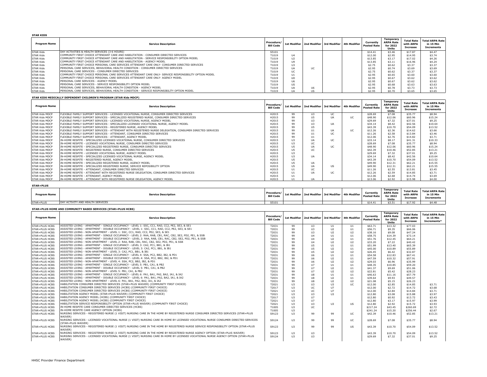| <b>STAR KIDS</b>    |                                                                                                        |                                |                 |     |                                                           |                                 |                                                    |                                            |                                                   |
|---------------------|--------------------------------------------------------------------------------------------------------|--------------------------------|-----------------|-----|-----------------------------------------------------------|---------------------------------|----------------------------------------------------|--------------------------------------------|---------------------------------------------------|
| <b>Program Name</b> | <b>Service Description</b>                                                                             | Procedure/<br><b>Bill Code</b> |                 |     | 1st Modifier   2nd Modifier   3rd Modifier   4th Modifier | Currently<br><b>Posted Rate</b> | Temporary<br><b>ARPA Rate</b><br>for 2022<br>Units | <b>Total Rate</b><br>with ARPA<br>Increase | <b>Total ARPA Rate</b><br>in 15 Min<br>Increments |
| <b>STAR Kids</b>    | DAY ACTIVITIES & HEALTH SERVICES (3-6 HOURS)                                                           | S5101                          |                 |     |                                                           | \$14.41                         | \$3.46                                             | \$17.87                                    | \$4.47                                            |
| <b>STAR Kids</b>    | I COMMUNITY FIRST CHOICE ATTENDANT CARE AND HABILITATION - CONSUMER DIRECTED SERVICES                  | T1019                          | $ $ $ $ $ $     |     |                                                           | \$12.00                         | \$2.95                                             | \$14.95                                    | \$3.74                                            |
| <b>STAR Kids</b>    | I COMMUNITY FIRST CHOICE ATTENDANT CARE AND HABILITATION - SERVICE RESPONSIBILITY OPTION MODEL         | T1019                          | U2              |     |                                                           | \$13.85                         | \$3.17                                             | \$17.02                                    | \$4.26                                            |
| <b>STAR Kids</b>    | COMMUNITY FIRST CHOICE ATTENDANT CARE AND HABILITATION - AGENCY MODEL                                  | T1019                          | U9              |     |                                                           | \$13.85                         | \$3.11                                             | \$16.96                                    | \$4.24                                            |
| <b>STAR Kids</b>    | I COMMUNITY FIRST CHOICE PERSONAL CARE SERVICES ATTENDANT CARE ONLY- CONSUMER DIRECTED SERVICES        | T1019                          | U3              |     |                                                           | \$2.75                          | \$0.62                                             | \$3.37                                     | \$3.37                                            |
| <b>STAR Kids</b>    | PERSONAL CARE SERVICES, BEHAVIORAL HEALTH CONDITION - CONSUMER DIRECTED SERVICES                       | T1019                          | <b>IIA</b>      | UC. |                                                           | \$2.95                          | \$0.74                                             | \$3.69                                     | \$3.69                                            |
| <b>STAR Kids</b>    | PERSONAL CARE SERVICES - CONSUMER DIRECTED SERVICES                                                    | T1019                          | UC.             |     |                                                           | \$2.75                          | \$0.62                                             | \$3.37                                     | \$3.37                                            |
| <b>STAR Kids</b>    | COMMUNITY FIRST CHOICE PERSONAL CARE SERVICES ATTENDANT CARE ONLY- SERVICE RESPONSIBILITY OPTION MODEL | T1019                          | U1              |     |                                                           | \$2.95                          | \$0.65                                             | \$3.60                                     | \$3.60                                            |
| <b>STAR Kids</b>    | I COMMUNITY FIRST CHOICE PERSONAL CARE SERVICES ATTENDANT CARE ONLY- AGENCY MODEL                      | T1019                          | $\overline{11}$ |     |                                                           | \$2.95                          | \$0.67                                             | \$3.62                                     | \$3.62                                            |
| <b>STAR Kids</b>    | <b>PERSONAL CARE SERVICES - AGENCY MODEL</b>                                                           | T1019                          | U <sub>6</sub>  |     |                                                           | \$2.95                          | \$0.67                                             | \$3.62                                     | \$3.62                                            |
| <b>STAR Kids</b>    | PERSONAL CARE SERVICES - SERVICE RESPONSIBILITY OPTION MODEL                                           | T1019                          | US.             |     |                                                           | \$2.95                          | \$0.68                                             | \$3.63                                     | \$3.63                                            |
| <b>STAR Kids</b>    | PERSONAL CARE SERVICES, BEHAVIORAL HEALTH CONDITION - AGENCY MODEL                                     | T1019                          | <b>IIA</b>      | U6  |                                                           | \$2.95                          | \$0.78                                             | \$3.73                                     | \$3.73                                            |
| <b>STAR Kids</b>    | PERSONAL CARE SERVICES, BEHAVIORAL HEALTH CONDITION - SERVICE RESPONSIBILITY OPTION MODEL              | T1019                          | $11\Delta$      |     |                                                           | \$2.95                          | \$0.70                                             | \$3.65                                     | \$3.65                                            |

#### **STAR KIDS MEDICALLY DEPENDENT CHILDREN'S PROGRAM (STAR Kids MDCP)**

| <b>Program Name</b>   | <b>Service Description</b>                                                                                | Procedure/<br><b>Bill Code</b> |    | 1st Modifier   2nd Modifier   3rd Modifier   4th Modifier |            |    | Currently<br><b>Posted Rate</b> | <b>Temporary</b><br><b>ARPA Rate</b><br>for 2022<br>Units | <b>Total Rate</b><br>with ARPA<br><b>Increase</b> | <b>Total ARPA Rate</b><br>in 15 Min<br><b>Increments</b> |
|-----------------------|-----------------------------------------------------------------------------------------------------------|--------------------------------|----|-----------------------------------------------------------|------------|----|---------------------------------|-----------------------------------------------------------|---------------------------------------------------|----------------------------------------------------------|
| <b>STAR Kids MDCP</b> | FLEXIBLE FAMILY SUPPORT SERVICES - LICENSED VOCATIONAL NURSE, CONSUMER DIRECTED SERVICES                  | H2015                          | 99 | U <sub>3</sub>                                            | UC         |    | \$28.69                         | \$7.08                                                    | \$35.77                                           | \$8.94                                                   |
| <b>STAR Kids MDCP</b> | FLEXIBLE FAMILY SUPPORT SERVICES - SPECIALIZED REGISTERED NURSE, CONSUMER DIRECTED SERVICES               | H2015                          | 99 | U <sub>5</sub>                                            | <b>IJA</b> | UC | \$48.90                         | \$12.06                                                   | \$60.96                                           | \$15.24                                                  |
| STAR Kids MDCP        | FLEXIBLE FAMILY SUPPORT SERVICES - LICENSED VOCATIONAL NURSE, AGENCY MODEL                                | H2015                          | 99 | U3                                                        |            |    | \$29.69                         | \$7.32                                                    | \$37.01                                           | \$9.25                                                   |
| STAR Kids MDCP        | FLEXIBLE FAMILY SUPPORT SERVICES - SPECIALIZED LICENSED VOCATIONAL NURSE, AGENCY MODEL                    | H2015                          | 99 | U3                                                        | <b>IJA</b> |    | \$34.14                         | \$8.42                                                    | \$42.56                                           | \$10.64                                                  |
| STAR Kids MDCP        | FLEXIBLE FAMILY SUPPORT SERVICES - REGISTERED NURSE, AGENCY MODEL                                         | H2015                          | 99 | U <sub>5</sub>                                            |            |    | \$43.39                         | \$10.70                                                   | \$54.09                                           | \$13.52                                                  |
| STAR Kids MDCP        | FLEXIBLE FAMILY SUPPORT SERVICES - ATTENDANT WITH REGISTERED NURSE DELEGATION. CONSUMER DIRECTED SERVICES | H2015                          | 99 | U1                                                        | UA         | UC | \$12.26                         | \$2.36                                                    | \$14.62                                           | \$3.66                                                   |
| STAR Kids MDCP        | FLEXIBLE FAMILY SUPPORT SERVICES - ATTENDANT, CONSUMER DIRECTED SERVICES                                  | H2015                          | 99 | U1                                                        | UC         |    | \$11.26                         | \$2.58                                                    | \$13.84                                           | \$3.46                                                   |
| STAR Kids MDCP        | FLEXIBLE FAMILY SUPPORT SERVICES - ATTENDANT, AGENCY MODEL                                                | H2015                          | 99 | U1                                                        |            |    | \$12.06                         | \$2.76                                                    | \$14.82                                           | \$3.71                                                   |
| <b>STAR Kids MDCP</b> | IN-HOME RESPITE - SPECIALIZED LICENSED VOCATIONAL NURSE, CONSUMER DIRECTED SERVICES                       | H2015                          | U3 | <b>IIA</b>                                                | UC         |    | \$33.14                         | \$8.17                                                    | \$41.31                                           | \$10.33                                                  |
| <b>STAR Kids MDCP</b> | IN-HOME RESPITE - LICENSED VOCATIONAL NURSE, CONSUMER DIRECTED SERVICES                                   | H2015                          | U3 | UC                                                        |            |    | \$28.69                         | \$7.08                                                    | \$35.77                                           | \$8.94                                                   |
| STAR Kids MDCP        | IN-HOME RESPITE - SPECIALIZED REGISTERED NURSE, CONSUMER DIRECTED SERVICES                                | H2015                          | U5 | <b>IIA</b>                                                | UC         |    | \$48.90                         | \$12.06                                                   | \$60.96                                           | \$15.24                                                  |
| STAR Kids MDCP        | IN-HOME RESPITE - REGISTERED NURSE, CONSUMER DIRECTED SERVICES                                            | H2015                          | U5 | UC                                                        |            |    | \$42.39                         | \$10.46                                                   | \$52.85                                           | \$13.21                                                  |
| STAR Kids MDCP        | IN-HOME RESPITE - LICENSED VOCATIONAL NURSE, AGENCY MODEL                                                 | H2015                          | U3 |                                                           |            |    | \$29.69                         | \$7.32                                                    | \$37.01                                           | \$9.25                                                   |
| <b>STAR Kids MDCP</b> | IN-HOME RESPITE - SPECIALIZED LICENSED VOCATIONAL NURSE, AGENCY MODEL                                     | H2015                          | U3 | <b>IIA</b>                                                |            |    | \$34.14                         | \$8.42                                                    | \$42.56                                           | \$10.64                                                  |
| <b>STAR Kids MDCP</b> | IN-HOME RESPITE - REGISTERED NURSE, AGENCY MODEL                                                          | H2015                          | U5 |                                                           |            |    | \$43.39                         | \$10.70                                                   | \$54.09                                           | \$13.52                                                  |
| <b>STAR Kids MDCP</b> | IN-HOME RESPITE - SPECIALIZED REGISTERED NURSE, AGENCY MODEL                                              | H2015                          | U5 | <b>IIA</b>                                                |            |    | \$49.90                         | \$12.31                                                   | \$62.21                                           | \$15.55                                                  |
| STAR Kids MDCP        | IN-HOME RESPITE - SPECIALIZED REGISTERED NURSE, SERVICE REPOSIBILITY OPTION                               | H2015                          | U5 | <b>IIA</b>                                                | <b>US</b>  |    | \$49.90                         | \$12.31                                                   | \$62.21                                           | \$15.55                                                  |
| STAR Kids MDCP        | IN-HOME RESPITE - ATTENDANT, CONSUMER DIRECTED SERVICES                                                   | H2015                          | U1 | UC.                                                       |            |    | \$11.26                         | \$2.55                                                    | \$13.81                                           | \$3.45                                                   |
| STAR Kids MDCP        | IN-HOME RESPITE - ATTENDANT WITH REGISTERED NURSE DELEGATION, CONSUMER DIRECTED SERVICES                  | H2015                          | U1 | <b>IIA</b>                                                | UC         |    | \$12.26                         | \$2.59                                                    | \$14.85                                           | \$3.71                                                   |
| STAR Kids MDCP        | IN-HOME RESPITE - ATTENDANT, AGENCY MODEL                                                                 | H2015                          | U1 |                                                           |            |    | \$12.06                         | \$2.68                                                    | \$14.74                                           | \$3.69                                                   |
| <b>STAR Kids MDCP</b> | IN-HOME RESPITE - ATTENDANT WITH REGISTERED NURSE DELEGATION, AGENCY MODEL                                | H2015                          | U1 | <b>IIA</b>                                                |            |    | \$13.06                         | \$2.92                                                    | \$15.98                                           | \$4.00                                                   |

**STAR+PLUS**

| Program Name | <b>Service Description</b>     | <b>Procedure</b><br><b>Bill Code</b> | 1st Modifier   2nd Modifier | 3rd Modifier 4th Modifier | Currently<br><b>Posted Rate</b> | Temporary<br><b>ARPA Rate</b><br>for 2022<br>Units | <b>Total Rate</b><br>with ARPA<br>Increase | <b>Total ARPA Rate</b><br>in 15 Mir<br>Increments |
|--------------|--------------------------------|--------------------------------------|-----------------------------|---------------------------|---------------------------------|----------------------------------------------------|--------------------------------------------|---------------------------------------------------|
| STAR+PLUS    | ' ACTIVITY AND HEALTH SERVICES | S5101                                |                             |                           | \$14.4                          | \$3.51                                             | \$17.92                                    | \$4.48                                            |
|              |                                |                                      |                             |                           |                                 |                                                    |                                            |                                                   |

#### **STAR+PLUS HOME AND COMMUNITY BASED SERVICES (STAR+PLUS HCBS)**

| <b>Program Name</b> | <b>Service Description</b>                                                                                                                                | Procedure/<br><b>Bill Code</b> |     | 1st Modifier   2nd Modifier   3rd Modifier   4th Modifier |                |                | Currently<br><b>Posted Rate</b> | <b>Temporary</b><br><b>ARPA Rate</b><br>for 2022<br>Units | <b>Total Rate</b><br>with ARPA<br>Increase | <b>Total ARPA Rate</b><br>in 15 Min<br>Increments* |
|---------------------|-----------------------------------------------------------------------------------------------------------------------------------------------------------|--------------------------------|-----|-----------------------------------------------------------|----------------|----------------|---------------------------------|-----------------------------------------------------------|--------------------------------------------|----------------------------------------------------|
| STAR+PLUS HCBS      | ASSISTED LIVING - APARTMENT - SINGLE OCCUPANCY - LEVEL 1: SSC, CC1, RAD, CC2, PE2, SE3, & SE1                                                             | T2031                          | 99  | U3                                                        | U1             | U1             | \$63.71                         | \$13.32                                                   | \$77.03                                    |                                                    |
| STAR+PLUS HCBS      | ASSISTED LIVING - APARTMENT - DOUBLE OCCUPANCY - LEVEL 1: SSC. CC1. RAD. CC2. PE2. SE3. & SE1                                                             | T2031                          | 99  | U3                                                        | U <sub>2</sub> | U1             | \$56.71                         | \$9.35                                                    | \$66.06                                    |                                                    |
| STAR+PLUS HCBS      | ASSISTED LIVING - NON-APARTMENT - LEVEL 1: SSC, CC1, RAD, CC2, PE2, SE3, & SE1                                                                            | T2031                          | 99  | U3                                                        | U <sub>2</sub> | U <sub>2</sub> | \$38.16                         | \$9.08                                                    | \$47.24                                    |                                                    |
| STAR+PLUS HCBS      | ASSISTED LIVING - APARTMENT - SINGLE OCCUPANCY - LEVEL 2: RAA, RAB, CB1, RAC, CB2, SE2, PD2, PE1, & SSB                                                   | T2031                          | 99  | 14                                                        | U1             | 111            | \$58.75                         | \$14.39                                                   | \$73.14                                    |                                                    |
| STAR+PLUS HCBS      | ASSISTED LIVING - APARTMENT - DOUBLE OCCUPANCY - LEVEL 2: RAA, RAB, CB1, RAC, CB2, SE2, PD2, PE1, & SSB                                                   | T2031                          | 99  | U <sub>4</sub>                                            | U <sub>2</sub> | U1             | \$51.76                         | \$12.45                                                   | \$64.21                                    |                                                    |
| STAR+PLUS HCBS      | ASSISTED LIVING - NON-APARTMENT - LEVEL 2: RAA, RAB, CB1, RAC, CB2, SE2, PD2, PE1, & SSB                                                                  | T2031                          | 99  | U <sub>4</sub>                                            | U <sub>2</sub> | U <sub>2</sub> | \$33.20                         | \$7.22                                                    | \$40.42                                    |                                                    |
| STAR+PLUS HCBS      | ASSISTED LIVING - APARTMENT - SINGLE OCCUPANCY - LEVEL 3: CA2, PC1, BB1, & IB1                                                                            | T2031                          | 99  | U <sub>5</sub>                                            | U1             | U1             | \$51.99                         | \$13.40                                                   | \$65.39                                    |                                                    |
| STAR+PLUS HCBS      | ASSISTED LIVING - APARTMENT - DOUBLE OCCUPANCY - LEVEL 3: CA2, PC1, BB1, & IB1                                                                            | T2031                          | 99  | U <sub>5</sub>                                            | U <sub>2</sub> | U1             | \$45.00                         | \$10.89                                                   | \$55.89                                    |                                                    |
| STAR+PLUS HCBS      | ASSISTED LIVING - NON-APARTMENT - LEVEL 3: CA2, PC1, BB1, & IB1                                                                                           | T2031                          | 99  | U <sub>5</sub>                                            | U <sub>2</sub> | U <sub>2</sub> | \$26.45                         | \$6.42                                                    | \$32.87                                    |                                                    |
| STAR+PLUS HCBS      | ASSISTED LIVING - APARTMENT - SINGLE OCCUPANCY - LEVEL 4: SSA, PC2, BB2, IB2, & PD1                                                                       | T2031                          | 99  | U <sub>6</sub>                                            | U1             | U1             | \$54.58                         | \$12.83                                                   | \$67.41                                    |                                                    |
| STAR+PLUS HCBS      | ASSISTED LIVING - APARTMENT - DOUBLE OCCUPANCY - LEVEL 4: SSA, PC2, BB2, IB2, & PD1                                                                       | T2031                          | 99  | 116                                                       | U <sub>2</sub> | U1             | \$47.59                         | \$10.32                                                   | \$57.91                                    |                                                    |
| STAR+PLUS HCBS      | ASSISTED LIVING - NON-APARTMENT - LEVEL 4: SSA, PC2, BB2, IB2, & PD1                                                                                      | T2031                          | 99  | U <sub>6</sub>                                            | U <sub>2</sub> | U <sub>2</sub> | \$29.03                         | \$6.96                                                    | \$35.99                                    |                                                    |
| STAR+PLUS HCBS      | ASSISTED LIVING - APARTMENT - SINGLE OCCUPANCY - LEVEL 5: PB1, CA1, & PB2                                                                                 | T2031                          | 99  | $U$ 7                                                     | U1             | U1             | \$48.35                         | \$10.85                                                   | \$59.20                                    |                                                    |
| STAR+PLUS HCBS      | ASSISTED LIVING - APARTMENT - DOUBLE OCCUPANCY - LEVEL 5: PB1, CA1, & PB2                                                                                 | T2031                          | 99  | $U$ 7                                                     | U <sub>2</sub> | U1             | \$41.37                         | \$9.69                                                    | \$51.06                                    |                                                    |
| STAR+PLUS HCBS      | ASSISTED LIVING - NON-APARTMENT - LEVEL 5: PB1, CA1, & PB2                                                                                                | T2031                          | 99  | 117                                                       | U <sub>2</sub> | U <sub>2</sub> | \$22.81                         | \$5.42                                                    | \$28.23                                    |                                                    |
| STAR+PLUS HCBS      | ASSISTED LIVING - APARTMENT - SINGLE OCCUPANCY - LEVEL 6: PA1, BA1, PA2, BA2, IA1, & IA2                                                                  | T2031                          | 99  | U8                                                        | U1             | U1             | \$46.63                         | \$11.16                                                   | \$57.79                                    |                                                    |
| STAR+PLUS HCBS      | ASSISTED LIVING - APARTMENT - DOUBLE OCCUPANCY - LEVEL 6: PA1, BA1, PA2, BA2, IA1, & IA2                                                                  | T2031                          | 99  | U8                                                        | U <sub>2</sub> | U1             | \$39.64                         | \$9.93                                                    | \$49.57                                    |                                                    |
| STAR+PLUS HCBS      | ASSISTED LIVING - NON-APARTMENT - LEVEL 6: PA1, BA1, PA2, BA2, IA1, & IA2                                                                                 | T2031                          | 99  | U8                                                        | U <sub>2</sub> | U <sub>2</sub> | \$21.08                         | \$5.15                                                    | \$26.23                                    |                                                    |
| STAR+PLUS HCBS      | HABILITATION CONSUMER DIRECTED SERVICES (STAR+PLUS WAIVER) (COMMUNITY FIRST CHOICE)                                                                       | T2021                          | U3  | U3                                                        | U3             | $\cup$ C       | \$12.00                         | \$2.85                                                    | \$14.85                                    | \$3.71                                             |
| STAR+PLUS HCBS      | HABILITATION CONSUMER DIRECTED SERVICES (HCBS) (COMMUNITY FIRST CHOICE)                                                                                   | T2017                          | U3  | <b>UC</b>                                                 | U7             |                | \$12.00                         | \$2.72                                                    | \$14.72                                    | \$3.68                                             |
| STAR+PLUS HCBS      | HABILITATION CONSUMER DIRECTED SERVICES (HCBS) (COMMUNITY FIRST CHOICE)                                                                                   | T2021                          | U3  | <b>UC</b>                                                 | U7             |                | \$12.00                         | \$2.84                                                    | \$14.84                                    | \$3.71                                             |
| STAR+PLUS HCBS      | HABILITATION AGENCY MODEL (STAR+PLUS WAIVER) (COMMUNITY FIRST CHOICE)                                                                                     | T2021                          | U3  | U3                                                        | U3             |                | \$12.80                         | \$3.08                                                    | \$15.88                                    | \$3.97                                             |
| STAR+PLUS HCBS      | HABILITATION AGENCY MODEL (HCBS) (COMMUNITY FIRST CHOICE)                                                                                                 | T2017                          | U3  | $U$ 7                                                     |                |                | \$12.80                         | \$0.92                                                    | \$13.72                                    | \$3.43                                             |
| STAR+PLUS HCBS      | HABILITATION AGENCY MODEL (HCBS) (COMMUNITY FIRST CHOICE)                                                                                                 | T2021                          | U3  | $U$ 7                                                     |                |                | \$12.80                         | \$3.17                                                    | \$15.97                                    | \$3.99                                             |
| STAR+PLUS HCBS      | HABILITATION SERVICE RESPONSIBILITY OPTION (STAR+PLUS WAIVER) (COMMUNITY FIRST CHOICE)                                                                    | T2021                          | U3  | U3                                                        | U3             | <b>US</b>      | \$12.80                         | \$2.92                                                    | \$15.72                                    | \$3.93                                             |
| STAR+PLUS HCBS      | IN-HOME RESPITE CARE CONSUMER DIRECTED SERVICES (HCBS)                                                                                                    | T1005                          | U3  | $\cup$ C                                                  |                |                | \$217.24                        | \$43.45                                                   | \$260.69                                   | \$2.72                                             |
| STAR+PLUS HCBS      | IN-HOME RESPITE CARE AGENCY OPTION (HCBS)                                                                                                                 | T1005                          | U3  |                                                           |                |                | \$241.24                        | \$15.20                                                   | \$256.44                                   | \$2.67                                             |
| STAR+PLUS HCBS      | NURSING SERVICES - REGISTERED NURSE (1 VISIT) NURSING CARE IN THE HOME BY REGISTERED NURSE CONSUMER DIRECTED SERVICES (STAR+PLUS<br>WAIVER)               | S9123                          | U3  | 99                                                        | 99             | <b>UC</b>      | \$42.39                         | \$10.46                                                   | \$52.85                                    | \$13.21                                            |
| STAR+PLUS HCBS      | NURSING SERVICES - LICENSED VOCATIONAL NURSE (1 VISIT) NURSING CARE IN HOME BY LICENSED VOCATIONAL NURSE CONSUMER DIRECTED SERVICES<br>(STAR+PLUS WAIVER) | S9124                          | 113 | 99                                                        | 99             | <b>UC</b>      | \$28.69                         | \$7.08                                                    | \$35.77                                    | \$8.94                                             |
| STAR+PLUS HCBS      | NURSING SERVICES - REGISTERED NURSE (1 VISIT) NURSING CARE IN THE HOME BY REGISTERED NURSE SERVICE RESPONSIBILITY OPTION (STAR+PLUS<br>WAIVER)            | S9123                          | U3  | 99                                                        | 99             | <b>US</b>      | \$43.39                         | \$10.70                                                   | \$54.09                                    | \$13.52                                            |
| STAR+PLUS HCBS      | Inursing services - registered nurse (1 visit) nursing care in the home by registered nurse agency option (star+plus waiver)                              | S9123                          | U3  | U3                                                        |                |                | \$43.39                         | \$10.70                                                   | \$54.09                                    | \$13.52                                            |
| STAR+PLUS HCBS      | NURSING SERVICES - LICENSED VOCATIONAL NURSE (1 VISIT) NURSING CARE IN HOME BY LICENSED VOCATIONAL NURSE AGENCY OPTION (STAR+PLUS                         | S9124                          | U3  | U3                                                        |                |                | \$29.69                         | \$7.32                                                    | \$37.01                                    | \$9.25                                             |
|                     | WAIVER)                                                                                                                                                   |                                |     |                                                           |                |                |                                 |                                                           |                                            |                                                    |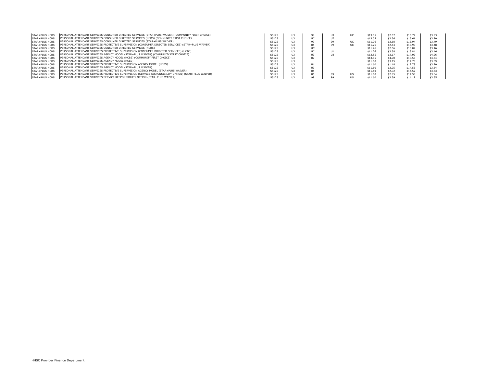| <b>STAR+PLUS HCBS</b> | PERSONAL ATTENDANT SERVICES CONSUMER DIRECTED SERVICES (STAR+PLUS WAIVER) (COMMUNITY FIRST CHOICE)    | S5125 | U <sub>3</sub> | 99  | U3 | UC.                    | \$13.05 | \$2.67 | \$15.72 | \$3.93 |
|-----------------------|-------------------------------------------------------------------------------------------------------|-------|----------------|-----|----|------------------------|---------|--------|---------|--------|
| <b>STAR+PLUS HCBS</b> | PERSONAL ATTENDANT SERVICES CONSUMER DIRECTED SERVICES (HCBS) (COMMUNITY FIRST CHOICE)                | S5125 |                |     |    |                        | \$13.05 | \$2.56 | \$15.61 | \$3.90 |
| STAR+PLUS HCBS        | PERSONAL ATTENDANT SERVICES CONSUMER DIRECTED SERVICES (STAR+PLUS WAIVER)                             | S5125 |                | 99  | 99 | $\overline{11}$<br>UC. | \$11.26 | \$2.68 | \$13.94 | \$3.49 |
| <b>STAR+PLUS HCBS</b> | (PERSONAL ATTENDANT SERVICES PROTECTIVE SUPERVISION (CONSUMER DIRECTED SERVICES) (STAR+PLUS WAIVER)   | S5125 | U3             | U5  | 99 | UC                     | \$11.26 | \$2.64 | \$13.90 | \$3.48 |
| <b>STAR+PLUS HCBS</b> | PERSONAL ATTENDANT SERVICES CONSUMER DIRECTED SERVICES (HCBS)                                         | S5125 | 113            | UC  |    |                        | \$11.26 | \$2.56 | \$13.82 | \$3.46 |
| <b>STAR+PLUS HCBS</b> | (PERSONAL ATTENDANT SERVICES PROTECTIVE SUPERVISION (CONSUMER DIRECTED SERVICES) (HCBS)               | S5125 |                |     | U1 |                        | \$11.26 | \$2.58 | \$13.84 | \$3.46 |
| <b>STAR+PLUS HCBS</b> | PERSONAL ATTENDANT SERVICES AGENCY MODEL (STAR+PLUS WAIVER) (COMMUNITY FIRST CHOICE)                  | S5125 |                | U3  | U3 |                        | \$13.85 | \$3.17 | \$17.02 | \$4.26 |
| <b>STAR+PLUS HCBS</b> | PERSONAL ATTENDANT SERVICES AGENCY MODEL (HCBS) (COMMUNITY FIRST CHOICE)                              | S5125 |                | 117 |    |                        | \$13.85 | \$4.70 | \$18.55 | \$4.64 |
| <b>STAR+PLUS HCBS</b> | PERSONAL ATTENDANT SERVICES AGENCY MODEL (HCBS)                                                       | S5125 | 113            |     |    |                        | \$11.60 | \$3.15 | \$14.75 | \$3.69 |
| STAR+PLUS HCBS        | PERSONAL ATTENDANT SERVICES PROTECTIVE SUPERVISION AGENCY MODEL (HCBS)                                | S5125 |                | U1  |    |                        | \$11.60 | \$1.18 | \$12.78 | \$3.20 |
| <b>STAR+PLUS HCBS</b> | PERSONAL ATTENDANT SERVICES AGENCY MODEL (STAR+PLUS WAIVER)                                           | S5125 |                | U3  |    |                        | \$11.60 | \$2.95 | \$14.55 | \$3.64 |
| <b>STAR+PLUS HCBS</b> | PERSONAL ATTENDANT SERVICES PROTECTIVE SUPERVISION AGENCY MODEL (STAR+PLUS WAIVER)                    | S5125 | 113            | U5  |    |                        | \$11.60 | \$2.92 | \$14.52 | \$3.63 |
| <b>STAR+PLUS HCBS</b> | PERSONAL ATTENDANT SERVICES PROTECTIVE SUPERVISION (SERVICE RESPONSIBILITY OPTION) (STAR+PLUS WAIVER) | S5125 |                | U5  | 99 | <b>US</b>              | \$11.60 | \$2.95 | \$14.55 | \$3.64 |
| STAR+PLUS HCBS        | PERSONAL ATTENDANT SERVICES SERVICE RESPONSIBILITY OPTION (STAR+PLUS WAIVER)                          | S5125 |                | 99  | 99 | US.                    | \$11.60 | \$2.59 | \$14.19 | \$3.55 |